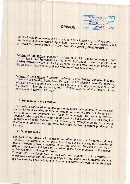### **OPINION**

**АГРАРЕМ УНИВЕРСИТЕТ** гр. Пловджа 8 AOPG AROVE 27  $101$  VVICHO Ha $10.05$  $20022$ 

On the thesis for obtaining the educational and scientific degree (ESD) Doctor in the field of higher education Agricultural Science and Veterinary Medicine 6.1, professional stream Plant Production, scientific speciality Plant Production.

Author of the thesis: part-time doctoral student in the Department of Plant Production of the Agricultural Faculty of the Agricultural University of Plovdiv -Radko Petrov Hristov; on the topic Effects of some foliar treatment products on the yield and quality of the grains in varieties of common wheat.

Author of the opinion: Associate Professor Doctor Zhivko Vassilev Zhivkov, University of Forestry, Sofia, scientific field Plant Production, scientific speciality Irrigation (including soil erosion and the fight against it) appointed as member of the scientific jury by Order No PA 16-263/14.03.2022 of the Rector of the Agricultural University of Plovdiv.

### 1. Relevance of the problem

The thesis is dedicated to the changes in the structural elements of the yield and its quality for 4 varieties of common wheat, following the use of foliar fertilisers enriched with microelements and foliar biostimulators. The study is relevant, because it describes the changes in the yield of a basic cereal crop, following the application of foliar fertilisers. The relevance is strengthened by the current international situation and the expected sharp decline in cereal production in

#### 2. Goal and tasks

The goal of the thesis is to establish the effect of products for foliar treatment (Plantafol and Bombar dier) on the yield and the quality of grains for 4 varieties of common wheat (Enola, Anapurna, Ginra and Bilyana). To achieve the goal, 4 different tasks were fulfilled and the effect of the foliar products on the growth and development of the cereal crops.

To meet the established goal, a three-year field experiment with 4 varieties of wheat was carried out. The methodology for the experiment is appropriate and this provides the possibility to give precise and correct answers to the identified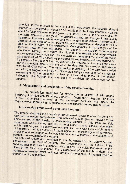question. In the process of carrying out the experiment, the doctoral student followed and collected, processed and described in the thesis information on the effect for foliar treatment on the growth and development of the cereal crops, the structural elements of the yield, the productivity and the changes in the quality indicators of the yield. When recording the changes in the different indicators, the doctoral student makes a competent soil and meteorological description of the area for the 3 years of the experiment. Consequently, in the analysis of the collected data, he took into account the effect of the specific meteorological conditions. During the 3 years, the planned phenological and morphological observations were carried out. The structural elements and the size of the yields were established. The necessary physiological and biochemical were carried out. To establish the effect of the products for foliar nourishment on the productivity and the structural elements of the yield, the data was processed in accordance with the ANOVA method. The mathematical processing of the data was carried out with the programme SPSS-16. Dispersion analysis was used for a statistical assessment of the presence or lack of proven differences of the studied indicators. The Dunkan test was used to establish the differences for the

# 3. Visualization and presentation of the obtained results.

The dissertation presented for review has a volume of 154 pages, including illustrated with 49 tables, 9 photos, 1 figure and 1 diagram. The thesis is well structured, contains all the necessary sections and meets the requirements for obtaining the educational and scientific degree (ESD) Doctor.

## 4. Discussion of the results and used literature.

The presentation and the analysis of the obtained results is correctly done and with the necessary competence. The obtained results give an answer to the objective set in the thesis. A considerable amount of data from the field experiment was collected and the doctoral student made considerable effort, which must be given a positive assessment. The work with such a high number of indicators, the high number of phenological and morphological observations, analyses and summaries of the obtained data lead to increased educational and scientific development of the student.

The obtained results are presented in a table, where one can clearly see the differences in the level of certainty. The presentation and the outline of the obtained results is done in a manner, which allows for a quick assessment of the effect of the foliar nourishment. The assessment of the results is done in a professional manner, which indicates that the doctoral student has acquired the